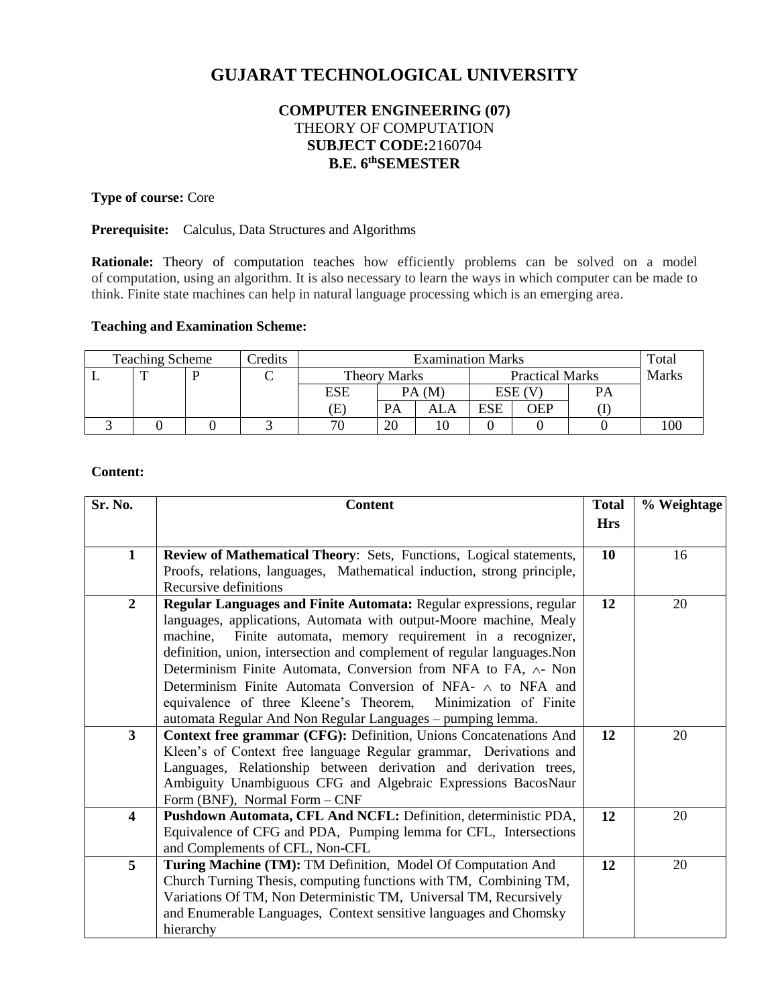# **GUJARAT TECHNOLOGICAL UNIVERSITY**

# **COMPUTER ENGINEERING (07)**  THEORY OF COMPUTATION **SUBJECT CODE:**2160704 **B.E. 6 thSEMESTER**

# **Type of course:** Core

#### **Prerequisite:** Calculus, Data Structures and Algorithms

Rationale: Theory of computation teaches how efficiently problems can be solved on a model of computation, using an algorithm. It is also necessary to learn the ways in which computer can be made to think. Finite state machines can help in natural language processing which is an emerging area.

#### **Teaching and Examination Scheme:**

| <b>Teaching Scheme</b> |  |  | Credits | <b>Examination Marks</b> |           |                        |            |     | Total        |  |
|------------------------|--|--|---------|--------------------------|-----------|------------------------|------------|-----|--------------|--|
|                        |  |  |         | <b>Theory Marks</b>      |           | <b>Practical Marks</b> |            |     | <b>Marks</b> |  |
|                        |  |  |         | ESE                      | PA(M)     |                        | ESE (V     |     | PA           |  |
|                        |  |  |         | Œ                        | <b>PA</b> | ALA                    | <b>ESE</b> | OEP |              |  |
|                        |  |  |         | 70                       | 20        |                        |            |     |              |  |

#### **Content:**

| Sr. No.                 | <b>Content</b>                                                                                                                                                                                                                                                                                                                                                                                                                                                                                                                                                              | <b>Total</b> | % Weightage |
|-------------------------|-----------------------------------------------------------------------------------------------------------------------------------------------------------------------------------------------------------------------------------------------------------------------------------------------------------------------------------------------------------------------------------------------------------------------------------------------------------------------------------------------------------------------------------------------------------------------------|--------------|-------------|
|                         |                                                                                                                                                                                                                                                                                                                                                                                                                                                                                                                                                                             | <b>Hrs</b>   |             |
| $\mathbf{1}$            | Review of Mathematical Theory: Sets, Functions, Logical statements,                                                                                                                                                                                                                                                                                                                                                                                                                                                                                                         | 10           | 16          |
|                         | Proofs, relations, languages, Mathematical induction, strong principle,<br>Recursive definitions                                                                                                                                                                                                                                                                                                                                                                                                                                                                            |              |             |
| $\overline{2}$          | <b>Regular Languages and Finite Automata: Regular expressions, regular</b><br>languages, applications, Automata with output-Moore machine, Mealy<br>Finite automata, memory requirement in a recognizer,<br>machine,<br>definition, union, intersection and complement of regular languages. Non<br>Determinism Finite Automata, Conversion from NFA to FA, ∧- Non<br>Determinism Finite Automata Conversion of NFA- $\wedge$ to NFA and<br>equivalence of three Kleene's Theorem,<br>Minimization of Finite<br>automata Regular And Non Regular Languages - pumping lemma. | 12           | 20          |
| $\overline{3}$          | Context free grammar (CFG): Definition, Unions Concatenations And<br>Kleen's of Context free language Regular grammar, Derivations and<br>Languages, Relationship between derivation and derivation trees,<br>Ambiguity Unambiguous CFG and Algebraic Expressions BacosNaur<br>Form (BNF), Normal Form - CNF                                                                                                                                                                                                                                                                | 12           | 20          |
| $\overline{\mathbf{4}}$ | Pushdown Automata, CFL And NCFL: Definition, deterministic PDA,<br>Equivalence of CFG and PDA, Pumping lemma for CFL, Intersections<br>and Complements of CFL, Non-CFL                                                                                                                                                                                                                                                                                                                                                                                                      | 12           | 20          |
| 5                       | Turing Machine (TM): TM Definition, Model Of Computation And<br>Church Turning Thesis, computing functions with TM, Combining TM,<br>Variations Of TM, Non Deterministic TM, Universal TM, Recursively<br>and Enumerable Languages, Context sensitive languages and Chomsky<br>hierarchy                                                                                                                                                                                                                                                                                    | 12           | 20          |